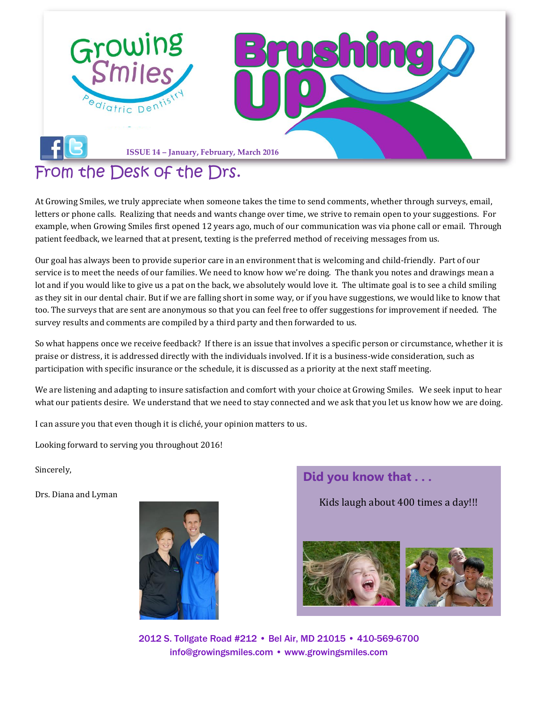

## [From the Desk of the Drs.](file:///C:/Users/user.DENTAL/Desktop/Newsletter/facebook)

At Growing Smiles, we truly appreciate when someone takes the time to send comments, whether through surveys, email, letters or phone calls. Realizing that needs and wants change over time, we strive to remain open to your suggestions. For example, when Growing Smiles first opened 12 years ago, much of our communication was via phone call or email. Through patient feedback, we learned that at present, texting is the preferred method of receiving messages from us.

Our goal has always been to provide superior care in an environment that is welcoming and child-friendly. Part of our service is to meet the needs of our families. We need to know how we're doing. The thank you notes and drawings mean a lot and if you would like to give us a pat on the back, we absolutely would love it. The ultimate goal is to see a child smiling as they sit in our dental chair. But if we are falling short in some way, or if you have suggestions, we would like to know that too. The surveys that are sent are anonymous so that you can feel free to offer suggestions for improvement if needed. The survey results and comments are compiled by a third party and then forwarded to us.

So what happens once we receive feedback? If there is an issue that involves a specific person or circumstance, whether it is praise or distress, it is addressed directly with the individuals involved. If it is a business-wide consideration, such as participation with specific insurance or the schedule, it is discussed as a priority at the next staff meeting.

We are listening and adapting to insure satisfaction and comfort with your choice at Growing Smiles. We seek input to hear what our patients desire. We understand that we need to stay connected and we ask that you let us know how we are doing.

I can assure you that even though it is cliché, your opinion matters to us.

Looking forward to serving you throughout 2016!

Sincerely,

Drs. Diana and Lyman



**Did you know that . . .**

Kids laugh about 400 times a day!!!



2012 S. Tollgate Road #212 • Bel Air, MD 21015 • 410-569-6700 [info@growingsmiles.com](mailto:info@growingsmiles.com) • [www.growingsmiles.com](http://www.growingsmiles.com/)